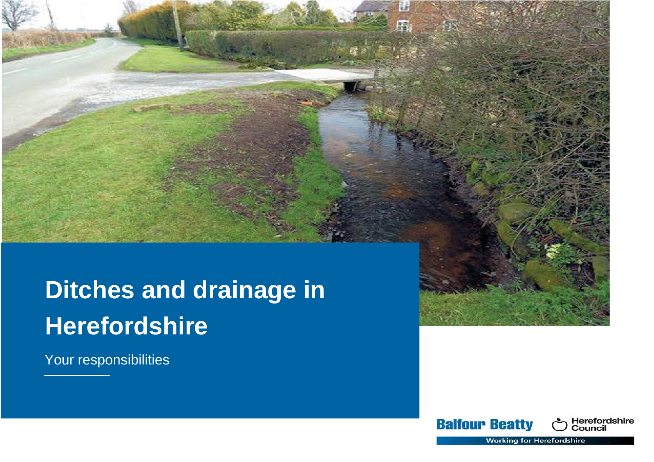# **Ditches and drainage in Herefordshire**

Your responsibilities



ëź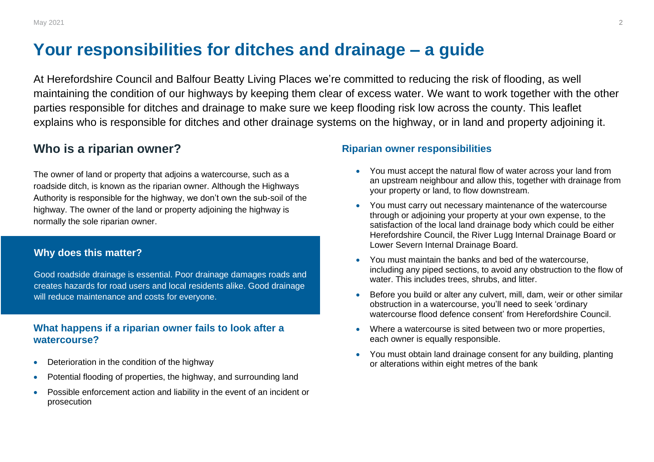# **Your responsibilities for ditches and drainage – a guide**

At Herefordshire Council and Balfour Beatty Living Places we're committed to reducing the risk of flooding, as well maintaining the condition of our highways by keeping them clear of excess water. We want to work together with the other parties responsible for ditches and drainage to make sure we keep flooding risk low across the county. This leaflet explains who is responsible for ditches and other drainage systems on the highway, or in land and property adjoining it.

# **Who is a riparian owner?**

The owner of land or property that adjoins a watercourse, such as a roadside ditch, is known as the riparian owner. Although the Highways Authority is responsible for the highway, we don't own the sub-soil of the highway. The owner of the land or property adjoining the highway is normally the sole riparian owner.  

### **Why does this matter?**

Good roadside drainage is essential. Poor drainage damages roads and creates hazards for road users and local residents alike. Good drainage will reduce maintenance and costs for everyone.

### **What happens if a riparian owner fails to look after a watercourse?**

- Deterioration in the condition of the highway
- Potential flooding of properties, the highway, and surrounding land
- Possible enforcement action and liability in the event of an incident or prosecution

#### **Riparian owner responsibilities**

- You must accept the natural flow of water across your land from an upstream neighbour and allow this, together with drainage from your property or land, to flow downstream.
- You must carry out necessary maintenance of the watercourse through or adjoining your property at your own expense, to the satisfaction of the local land drainage body which could be either Herefordshire Council, the River Lugg Internal Drainage Board or Lower Severn Internal Drainage Board.
- You must maintain the banks and bed of the watercourse, including any piped sections, to avoid any obstruction to the flow of water. This includes trees, shrubs, and litter.
- Before you build or alter any culvert, mill, dam, weir or other similar obstruction in a watercourse, you'll need to seek 'ordinary watercourse flood defence consent' from Herefordshire Council.
- Where a watercourse is sited between two or more properties, each owner is equally responsible.
- You must obtain land drainage consent for any building, planting or alterations within eight metres of the bank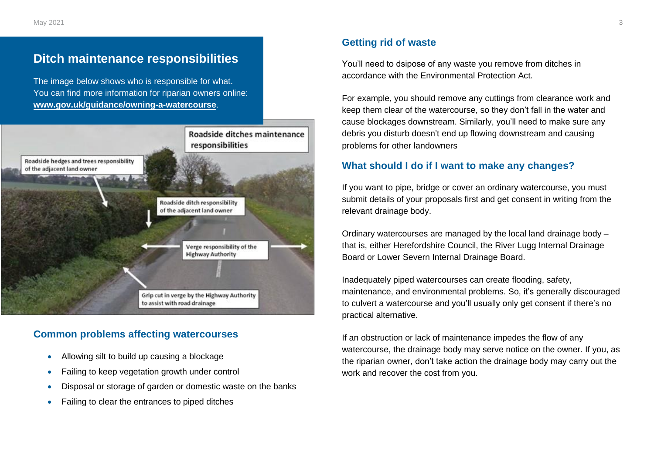# **Ditch maintenance responsibilities**

The image below shows who is responsible for what. You can find more information for riparian owners online: **[www.gov.uk/guidance/owning-a-watercourse](http://www.gov.uk/guidance/owning-a-watercourse)**.



### **Common problems affecting watercourses**

- Allowing silt to build up causing a blockage
- Failing to keep vegetation growth under control
- Disposal or storage of garden or domestic waste on the banks
- Failing to clear the entrances to piped ditches

### **Getting rid of waste**

You'll need to dsipose of any waste you remove from ditches in accordance with the Environmental Protection Act.

For example, you should remove any cuttings from clearance work and keep them clear of the watercourse, so they don't fall in the water and cause blockages downstream. Similarly, you'll need to make sure any debris you disturb doesn't end up flowing downstream and causing problems for other landowners

### **What should I do if I want to make any changes?**

If you want to pipe, bridge or cover an ordinary watercourse, you must submit details of your proposals first and get consent in writing from the relevant drainage body.

Ordinary watercourses are managed by the local land drainage body – that is, either Herefordshire Council, the River Lugg Internal Drainage Board or Lower Severn Internal Drainage Board.

Inadequately piped watercourses can create flooding, safety, maintenance, and environmental problems. So, it's generally discouraged to culvert a watercourse and you'll usually only get consent if there's no practical alternative.

If an obstruction or lack of maintenance impedes the flow of any watercourse, the drainage body may serve notice on the owner. If you, as the riparian owner, don't take action the drainage body may carry out the work and recover the cost from you.